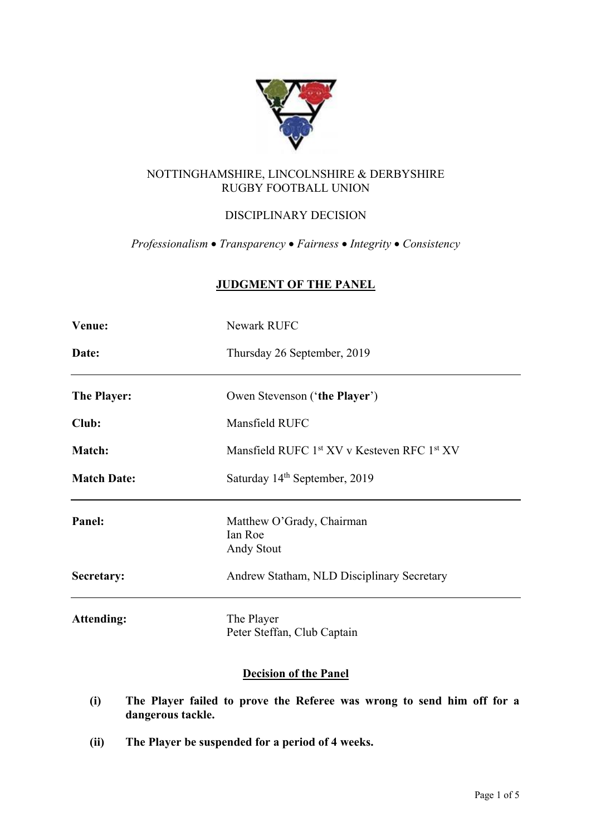

# NOTTINGHAMSHIRE, LINCOLNSHIRE & DERBYSHIRE RUGBY FOOTBALL UNION

# DISCIPLINARY DECISION

*Professionalism* • *Transparency* • *Fairness* • *Integrity* • *Consistency*

# **JUDGMENT OF THE PANEL**

| Venue:             | <b>Newark RUFC</b>                                                  |
|--------------------|---------------------------------------------------------------------|
| Date:              | Thursday 26 September, 2019                                         |
| The Player:        | Owen Stevenson ('the Player')                                       |
| Club:              | Mansfield RUFC                                                      |
| Match:             | Mansfield RUFC 1 <sup>st</sup> XV v Kesteven RFC 1 <sup>st</sup> XV |
| <b>Match Date:</b> | Saturday 14 <sup>th</sup> September, 2019                           |
| Panel:             | Matthew O'Grady, Chairman<br>Ian Roe<br>Andy Stout                  |
| Secretary:         | Andrew Statham, NLD Disciplinary Secretary                          |
| <b>Attending:</b>  | The Player<br>Peter Steffan, Club Captain                           |

# **Decision of the Panel**

- **(i) The Player failed to prove the Referee was wrong to send him off for a dangerous tackle.**
- **(ii) The Player be suspended for a period of 4 weeks.**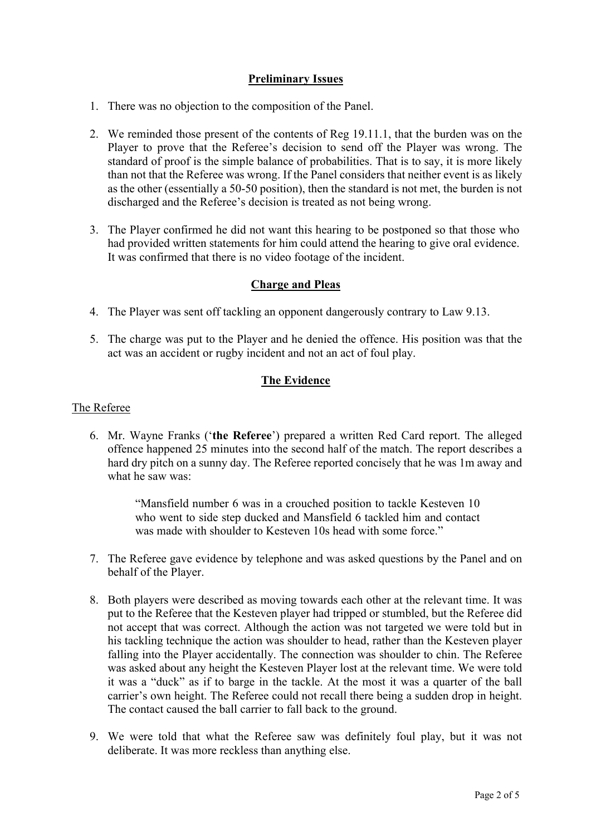# **Preliminary Issues**

- 1. There was no objection to the composition of the Panel.
- 2. We reminded those present of the contents of Reg 19.11.1, that the burden was on the Player to prove that the Referee's decision to send off the Player was wrong. The standard of proof is the simple balance of probabilities. That is to say, it is more likely than not that the Referee was wrong. If the Panel considers that neither event is as likely as the other (essentially a 50-50 position), then the standard is not met, the burden is not discharged and the Referee's decision is treated as not being wrong.
- 3. The Player confirmed he did not want this hearing to be postponed so that those who had provided written statements for him could attend the hearing to give oral evidence. It was confirmed that there is no video footage of the incident.

# **Charge and Pleas**

- 4. The Player was sent off tackling an opponent dangerously contrary to Law 9.13.
- 5. The charge was put to the Player and he denied the offence. His position was that the act was an accident or rugby incident and not an act of foul play.

# **The Evidence**

#### The Referee

6. Mr. Wayne Franks ('**the Referee**') prepared a written Red Card report. The alleged offence happened 25 minutes into the second half of the match. The report describes a hard dry pitch on a sunny day. The Referee reported concisely that he was 1m away and what he saw was:

> "Mansfield number 6 was in a crouched position to tackle Kesteven 10 who went to side step ducked and Mansfield 6 tackled him and contact was made with shoulder to Kesteven 10s head with some force."

- 7. The Referee gave evidence by telephone and was asked questions by the Panel and on behalf of the Player.
- 8. Both players were described as moving towards each other at the relevant time. It was put to the Referee that the Kesteven player had tripped or stumbled, but the Referee did not accept that was correct. Although the action was not targeted we were told but in his tackling technique the action was shoulder to head, rather than the Kesteven player falling into the Player accidentally. The connection was shoulder to chin. The Referee was asked about any height the Kesteven Player lost at the relevant time. We were told it was a "duck" as if to barge in the tackle. At the most it was a quarter of the ball carrier's own height. The Referee could not recall there being a sudden drop in height. The contact caused the ball carrier to fall back to the ground.
- 9. We were told that what the Referee saw was definitely foul play, but it was not deliberate. It was more reckless than anything else.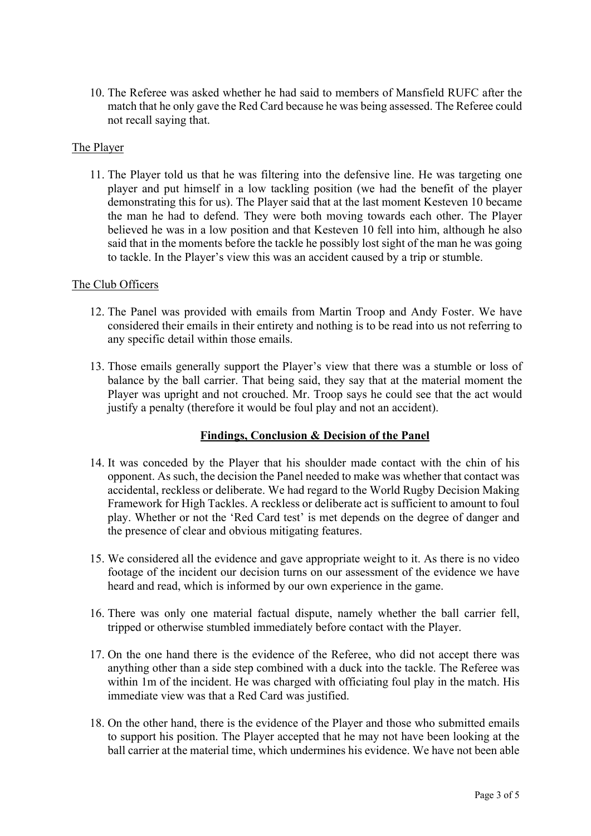10. The Referee was asked whether he had said to members of Mansfield RUFC after the match that he only gave the Red Card because he was being assessed. The Referee could not recall saying that.

### The Player

11. The Player told us that he was filtering into the defensive line. He was targeting one player and put himself in a low tackling position (we had the benefit of the player demonstrating this for us). The Player said that at the last moment Kesteven 10 became the man he had to defend. They were both moving towards each other. The Player believed he was in a low position and that Kesteven 10 fell into him, although he also said that in the moments before the tackle he possibly lost sight of the man he was going to tackle. In the Player's view this was an accident caused by a trip or stumble.

### The Club Officers

- 12. The Panel was provided with emails from Martin Troop and Andy Foster. We have considered their emails in their entirety and nothing is to be read into us not referring to any specific detail within those emails.
- 13. Those emails generally support the Player's view that there was a stumble or loss of balance by the ball carrier. That being said, they say that at the material moment the Player was upright and not crouched. Mr. Troop says he could see that the act would justify a penalty (therefore it would be foul play and not an accident).

#### **Findings, Conclusion & Decision of the Panel**

- 14. It was conceded by the Player that his shoulder made contact with the chin of his opponent. As such, the decision the Panel needed to make was whether that contact was accidental, reckless or deliberate. We had regard to the World Rugby Decision Making Framework for High Tackles. A reckless or deliberate act is sufficient to amount to foul play. Whether or not the 'Red Card test' is met depends on the degree of danger and the presence of clear and obvious mitigating features.
- 15. We considered all the evidence and gave appropriate weight to it. As there is no video footage of the incident our decision turns on our assessment of the evidence we have heard and read, which is informed by our own experience in the game.
- 16. There was only one material factual dispute, namely whether the ball carrier fell, tripped or otherwise stumbled immediately before contact with the Player.
- 17. On the one hand there is the evidence of the Referee, who did not accept there was anything other than a side step combined with a duck into the tackle. The Referee was within 1m of the incident. He was charged with officiating foul play in the match. His immediate view was that a Red Card was justified.
- 18. On the other hand, there is the evidence of the Player and those who submitted emails to support his position. The Player accepted that he may not have been looking at the ball carrier at the material time, which undermines his evidence. We have not been able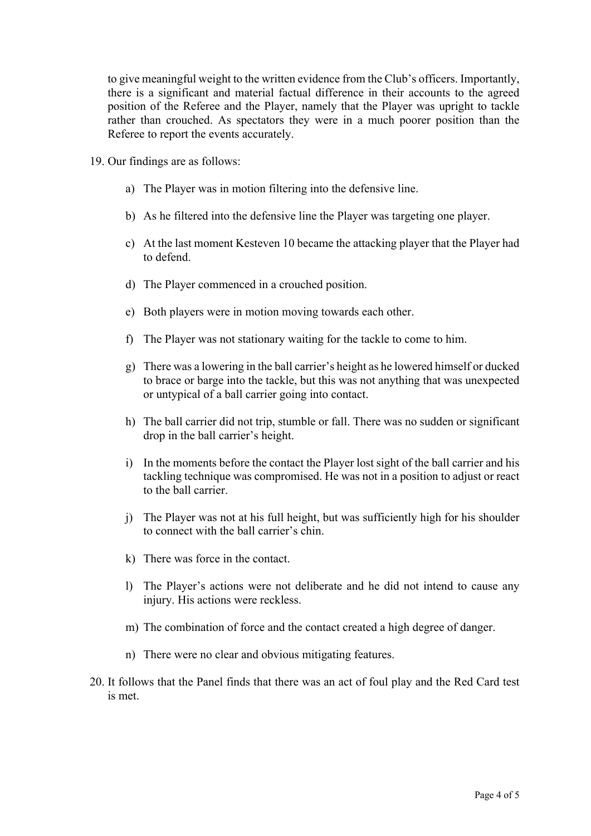to give meaningful weight to the written evidence from the Club's officers. Importantly, there is a significant and material factual difference in their accounts to the agreed position of the Referee and the Player, namely that the Player was upright to tackle rather than crouched. As spectators they were in a much poorer position than the Referee to report the events accurately.

- 19. Our findings are as follows:
	- a) The Player was in motion filtering into the defensive line.
	- b) As he filtered into the defensive line the Player was targeting one player.
	- c) At the last moment Kesteven 10 became the attacking player that the Player had to defend.
	- d) The Player commenced in a crouched position.
	- e) Both players were in motion moving towards each other.
	- f) The Player was not stationary waiting for the tackle to come to him.
	- g) There was a lowering in the ball carrier's height as he lowered himself or ducked to brace or barge into the tackle, but this was not anything that was unexpected or untypical of a ball carrier going into contact.
	- h) The ball carrier did not trip, stumble or fall. There was no sudden or significant drop in the ball carrier's height.
	- i) In the moments before the contact the Player lost sight of the ball carrier and his tackling technique was compromised. He was not in a position to adjust or react to the ball carrier.
	- j) The Player was not at his full height, but was sufficiently high for his shoulder to connect with the ball carrier's chin.
	- k) There was force in the contact.
	- l) The Player's actions were not deliberate and he did not intend to cause any injury. His actions were reckless.
	- m) The combination of force and the contact created a high degree of danger.
	- n) There were no clear and obvious mitigating features.
- 20. It follows that the Panel finds that there was an act of foul play and the Red Card test is met.